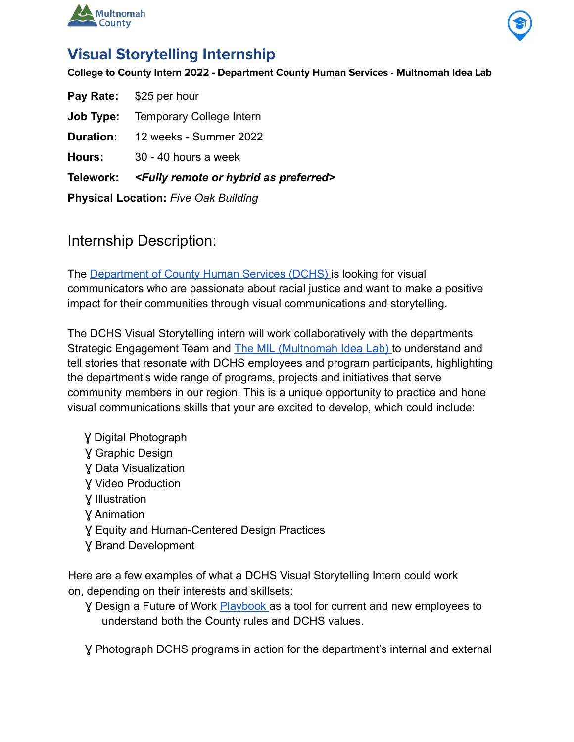



## **Visual Storytelling Internship**

**College to County Intern 2022 - Department County Human Services - Multnomah Idea Lab**

| <b>Physical Location: Five Oak Building</b> |                                                                        |
|---------------------------------------------|------------------------------------------------------------------------|
|                                             | Telework: <fully as="" hybrid="" or="" preferred="" remote=""></fully> |
| Hours:                                      | 30 - 40 hours a week                                                   |
|                                             | <b>Duration:</b> 12 weeks - Summer 2022                                |
| Job Type:                                   | <b>Temporary College Intern</b>                                        |
|                                             | <b>Pay Rate:</b> \$25 per hour                                         |

### Internship Description:

The Department of County Human Services (DCHS) is looking for visual communicators who are passionate about racial justice and want to make a positive impact for their communities through visual communications and storytelling.

The DCHS Visual Storytelling intern will work collaboratively with the departments Strategic Engagement Team and The MIL (Multnomah Idea Lab) to understand and tell stories that resonate with DCHS employees and program participants, highlighting the department's wide range of programs, projects and initiatives that serve community members in our region. This is a unique opportunity to practice and hone visual communications skills that your are excited to develop, which could include:

Ɣ Digital Photograph Ɣ Graphic Design Ɣ Data Visualization Ɣ Video Production Ɣ Illustration Ɣ Animation Ɣ Equity and Human-Centered Design Practices Ɣ Brand Development

Here are a few examples of what a DCHS Visual Storytelling Intern could work on, depending on their interests and skillsets:

Ɣ Design a Future of Work Playbook as a tool for current and new employees to understand both the County rules and DCHS values.

Ɣ Photograph DCHS programs in action for the department's internal and external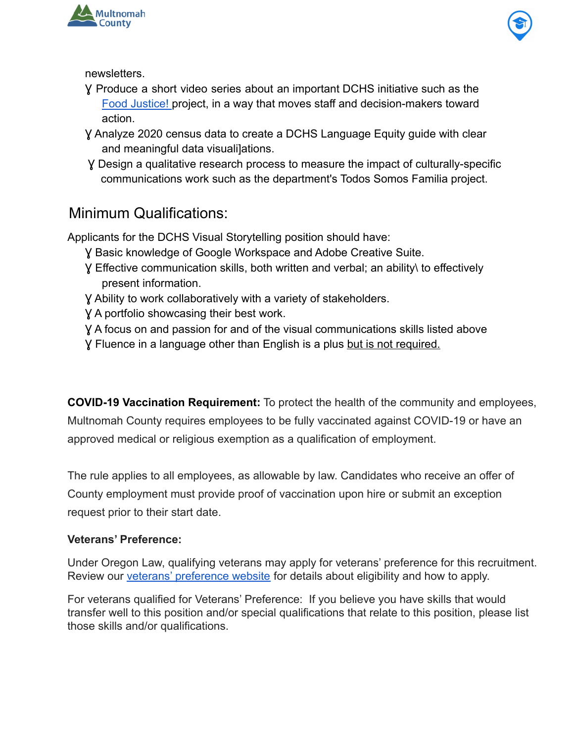



newsletters.

- Ɣ Produce a short video series about an important DCHS initiative such as the Food Justice! project, in a way that moves staff and decision-makers toward action.
- Ɣ Analyze 2020 census data to create a DCHS Language Equity guide with clear and meaningful data visuali]ations.
- Ɣ Design a qualitative research process to measure the impact of culturally-specific communications work such as the department's Todos Somos Familia project.

# Minimum Qualifications:

Applicants for the DCHS Visual Storytelling position should have:

- Ɣ Basic knowledge of Google Workspace and Adobe Creative Suite.
- Ɣ Effective communication skills, both written and verbal; an ability\ to effectively present information.
- Ɣ Ability to work collaboratively with a variety of stakeholders.
- Ɣ A portfolio showcasing their best work.
- Ɣ A focus on and passion for and of the visual communications skills listed above
- Ɣ Fluence in a language other than English is a plus but is not required.

**COVID-19 Vaccination Requirement:** To protect the health of the community and employees, Multnomah County requires employees to be fully vaccinated against COVID-19 or have an approved medical or religious exemption as a qualification of employment.

The rule applies to all employees, as allowable by law. Candidates who receive an offer of County employment must provide proof of vaccination upon hire or submit an exception request prior to their start date.

#### **Veterans' Preference:**

Under Oregon Law, qualifying veterans may apply for veterans' preference for this recruitment. Review our [veterans' preference website](http://multco.us/jobs/veterans-preference-information-and-instructions) for details about eligibility and how to apply.

For veterans qualified for Veterans' Preference: If you believe you have skills that would transfer well to this position and/or special qualifications that relate to this position, please list those skills and/or qualifications.